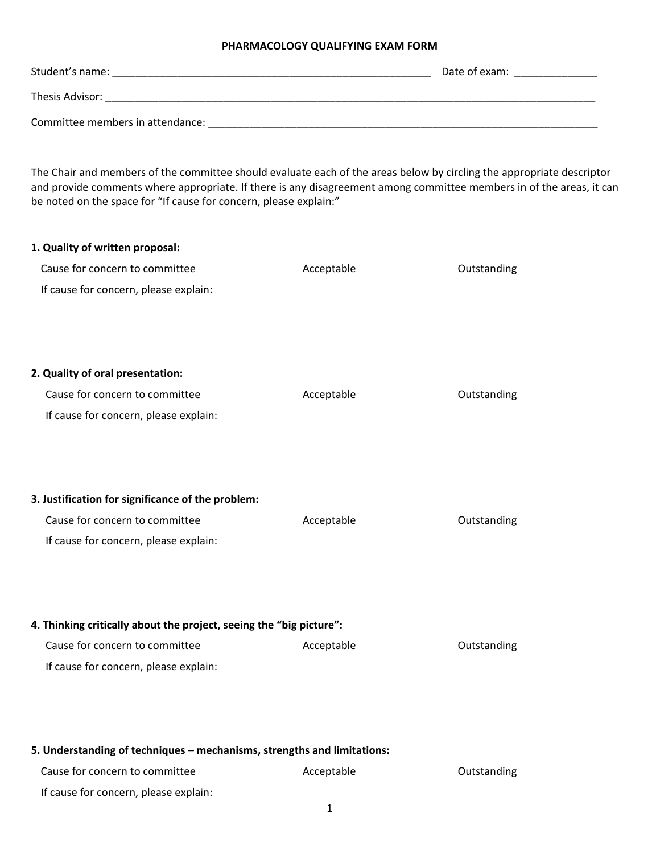## **PHARMACOLOGY QUALIFYING EXAM FORM**

| Student's name:                  | Date of exam: |
|----------------------------------|---------------|
| Thesis Advisor:                  |               |
| Committee members in attendance: |               |

The Chair and members of the committee should evaluate each of the areas below by circling the appropriate descriptor and provide comments where appropriate. If there is any disagreement among committee members in of the areas, it can be noted on the space for "If cause for concern, please explain:"

| 1. Quality of written proposal:                                         |            |             |  |  |
|-------------------------------------------------------------------------|------------|-------------|--|--|
| Cause for concern to committee                                          | Acceptable | Outstanding |  |  |
| If cause for concern, please explain:                                   |            |             |  |  |
|                                                                         |            |             |  |  |
|                                                                         |            |             |  |  |
| 2. Quality of oral presentation:                                        |            |             |  |  |
| Cause for concern to committee                                          | Acceptable | Outstanding |  |  |
|                                                                         |            |             |  |  |
| If cause for concern, please explain:                                   |            |             |  |  |
|                                                                         |            |             |  |  |
|                                                                         |            |             |  |  |
| 3. Justification for significance of the problem:                       |            |             |  |  |
| Cause for concern to committee                                          | Acceptable | Outstanding |  |  |
| If cause for concern, please explain:                                   |            |             |  |  |
|                                                                         |            |             |  |  |
|                                                                         |            |             |  |  |
| 4. Thinking critically about the project, seeing the "big picture":     |            |             |  |  |
| Cause for concern to committee                                          | Acceptable | Outstanding |  |  |
| If cause for concern, please explain:                                   |            |             |  |  |
|                                                                         |            |             |  |  |
|                                                                         |            |             |  |  |
|                                                                         |            |             |  |  |
| 5. Understanding of techniques - mechanisms, strengths and limitations: |            |             |  |  |
| Cause for concern to committee                                          | Acceptable | Outstanding |  |  |
| If cause for concern, please explain:                                   |            |             |  |  |

1